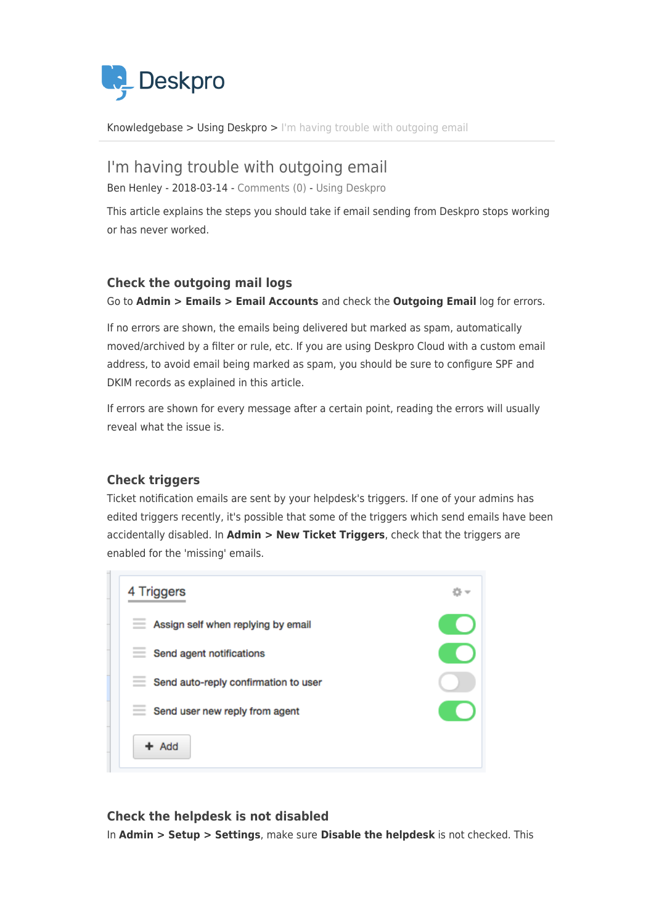

[Knowledgebase](https://support.deskpro.com/cy-GB/kb) > [Using Deskpro](https://support.deskpro.com/cy-GB/kb/using-deskpro) > [I'm having trouble with outgoing email](https://support.deskpro.com/cy-GB/kb/articles/i-m-having-trouble-with-outgoing-email)

# I'm having trouble with outgoing email

Ben Henley - 2018-03-14 - [Comments \(0\)](#page--1-0) - [Using Deskpro](https://support.deskpro.com/cy-GB/kb/using-deskpro)

This article explains the steps you should take if email sending from Deskpro stops working or has never worked.

## **Check the outgoing mail logs**

Go to **Admin > Emails > Email Accounts** and check the **Outgoing Email** log for errors.

If no errors are shown, the emails being delivered but marked as spam, automatically moved/archived by a filter or rule, etc. If you are using Deskpro Cloud with a custom email address, to avoid email being marked as spam, you should be sure to configure SPF and DKIM records as explained in this article.

If errors are shown for every message after a certain point, reading the errors will usually reveal what the issue is.

## **Check triggers**

Ticket notification emails are sent by your helpdesk's triggers. If one of your admins has edited triggers recently, it's possible that some of the triggers which send emails have been accidentally disabled. In **Admin > New Ticket Triggers**, check that the triggers are enabled for the 'missing' emails.



## **Check the helpdesk is not disabled**

In **Admin > Setup > Settings**, make sure **Disable the helpdesk** is not checked. This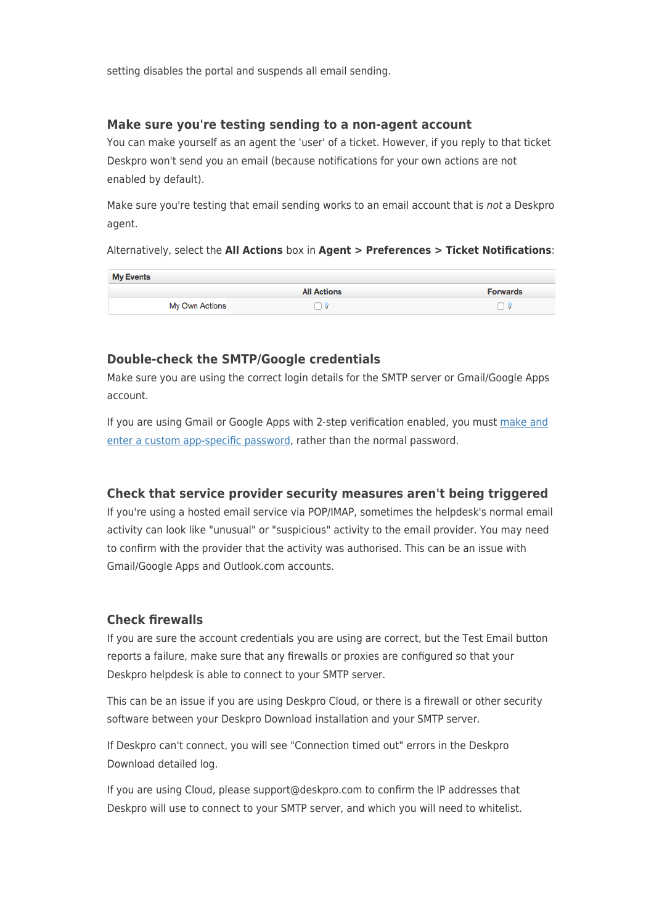setting disables the portal and suspends all email sending.

#### **Make sure you're testing sending to a non-agent account**

You can make yourself as an agent the 'user' of a ticket. However, if you reply to that ticket Deskpro won't send you an email (because notifications for your own actions are not enabled by default).

Make sure you're testing that email sending works to an email account that is not a Deskpro agent.

Alternatively, select the **All Actions** box in **Agent > Preferences > Ticket Notifications**:

| <b>My Events</b> |                    |                 |
|------------------|--------------------|-----------------|
|                  | <b>All Actions</b> | <b>Forwards</b> |
| My Own Actions   |                    |                 |

#### **Double-check the SMTP/Google credentials**

Make sure you are using the correct login details for the SMTP server or Gmail/Google Apps account.

If you are using Gmail or Google Apps with 2-step verification enabled, you must [make and](https://support.google.com/accounts/answer/185833?hl=en&topic=2784804&ctx=topic) [enter a custom app-specific password](https://support.google.com/accounts/answer/185833?hl=en&topic=2784804&ctx=topic), rather than the normal password.

#### **Check that service provider security measures aren't being triggered**

If you're using a hosted email service via POP/IMAP, sometimes the helpdesk's normal email activity can look like "unusual" or "suspicious" activity to the email provider. You may need to confirm with the provider that the activity was authorised. This can be an issue with Gmail/Google Apps and Outlook.com accounts.

#### **Check firewalls**

If you are sure the account credentials you are using are correct, but the Test Email button reports a failure, make sure that any firewalls or proxies are configured so that your Deskpro helpdesk is able to connect to your SMTP server.

This can be an issue if you are using Deskpro Cloud, or there is a firewall or other security software between your Deskpro Download installation and your SMTP server.

If Deskpro can't connect, you will see "Connection timed out" errors in the Deskpro Download detailed log.

If you are using Cloud, please support@deskpro.com to confirm the IP addresses that Deskpro will use to connect to your SMTP server, and which you will need to whitelist.